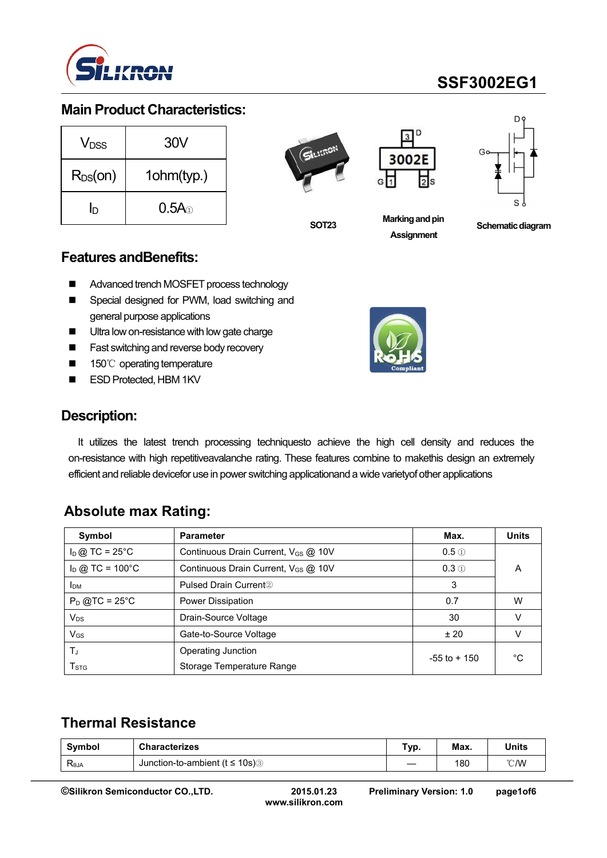

# **SSF3002EG1**

#### **Main Product Characteristics:**

| <b>V</b> <sub>DSS</sub> | 30V               | Silinoti |
|-------------------------|-------------------|----------|
| $R_{DS}(on)$            | 1ohm(typ.)        |          |
| ٠D                      | 0.5A <sub>0</sub> |          |



**SOT23**



**Marking and pin Assignment**



**Schematic diagram** 

#### **Features andBenefits:**

- Advanced trench MOSFET process technology
- Special designed for PWM, load switching and general purpose applications
- **Ultra low on-resistance with low gate charge**
- Fast switching and reverse body recovery
- 150℃ operating temperature
- ESD Protected, HBM 1KV



### **Description:**

It utilizes the latest trench processing techniquesto achieve the high cell density and reduces the on-resistance with high repetitiveavalanche rating. These features combine to makethis design an extremely efficient and reliable devicefor use in power switching applicationand a wide varietyof other applications

## **Absolute max Rating:**

| Symbol                        | <b>Parameter</b>                    | Max.              | <b>Units</b> |
|-------------------------------|-------------------------------------|-------------------|--------------|
| $I_D$ @ TC = 25°C             | Continuous Drain Current, VGS @ 10V | $0.5 \, \circled$ |              |
| $I_D$ @ TC = 100 $^{\circ}$ C | $0.3 \circled$                      | A                 |              |
| I <sub>DM</sub>               | Pulsed Drain Current <sup>2</sup>   | 3                 |              |
| $P_D$ @TC = 25°C              | Power Dissipation                   | 0.7               | W            |
| $V_{DS}$                      | Drain-Source Voltage                | 30                |              |
| $V$ GS                        | Gate-to-Source Voltage              | ± 20              | V            |
| ΤJ                            | Operating Junction                  | $-55$ to $+150$   | °C           |
| $\mathsf{T}_{\text{STG}}$     | Storage Temperature Range           |                   |              |

## **Thermal Resistance**

| Symbol                   | <b>Characterizes</b>                                 | [VD | $ -$<br>Max. | <b>Units</b> |
|--------------------------|------------------------------------------------------|-----|--------------|--------------|
| <b>K</b> <sub>e</sub> JA | 10s)③<br>$\sim$<br>Junction-to-ambient<br>11 (<br>-- |     | 180          | °C/W         |

**www.silikron.com**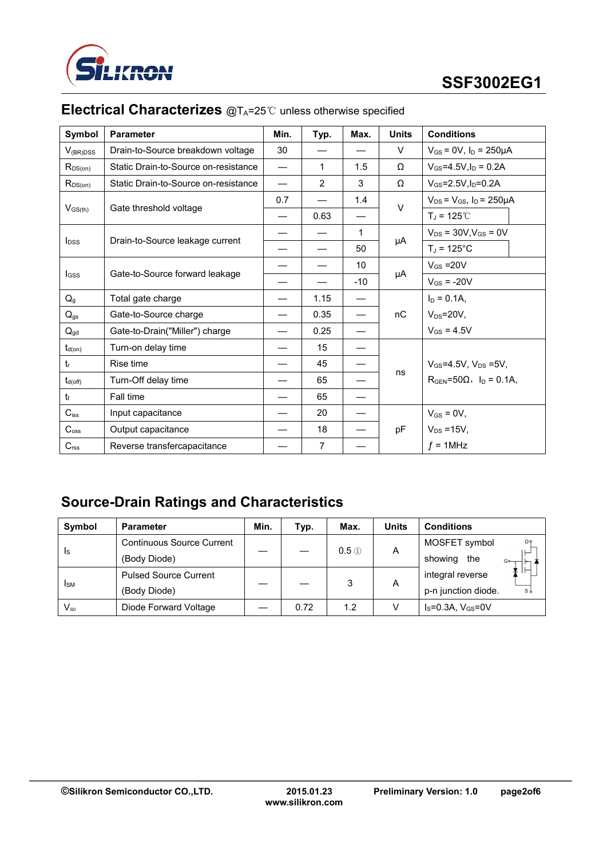

| Symbol              | <b>Parameter</b>                     | Min.                     | Typ.           | Max.        | <b>Units</b> | <b>Conditions</b>                         |
|---------------------|--------------------------------------|--------------------------|----------------|-------------|--------------|-------------------------------------------|
| $V_{(BR)DSS}$       | Drain-to-Source breakdown voltage    | 30                       |                |             | $\vee$       | $V_{GS} = 0V$ , $I_D = 250 \mu A$         |
| $R_{DS(on)}$        | Static Drain-to-Source on-resistance | $\overline{\phantom{0}}$ | 1              | 1.5         | Ω            | $V_{GS} = 4.5V, I_D = 0.2A$               |
| $R_{DS(on)}$        | Static Drain-to-Source on-resistance |                          | 2              | 3           | Ω            | $V_{GS} = 2.5V, I_D = 0.2A$               |
|                     |                                      | 0.7                      |                | 1.4         | $\vee$       | $V_{DS}$ = $V_{GS}$ , $I_D$ = 250 $\mu$ A |
| $V_{GS(th)}$        | Gate threshold voltage               |                          | 0.63           |             |              | $T_J = 125^{\circ}C$                      |
|                     |                                      |                          |                | $\mathbf 1$ |              | $V_{DS} = 30V, V_{GS} = 0V$               |
| $I_{DSS}$           | Drain-to-Source leakage current      |                          |                | 50          | μA           | $T_J = 125$ °C                            |
|                     |                                      |                          |                | 10          |              | $V_{GS} = 20V$                            |
| $_{\text{loss}}$    | Gate-to-Source forward leakage       |                          |                | $-10$       | μA           | $V_{GS} = -20V$                           |
| $Q_g$               | Total gate charge                    |                          | 1.15           |             |              | $I_D = 0.1A,$                             |
| $Q_{gs}$            | Gate-to-Source charge                |                          | 0.35           |             | nC           | $V_{DS} = 20V$ ,                          |
| $Q_{gd}$            | Gate-to-Drain("Miller") charge       |                          | 0.25           |             |              | $V_{GS} = 4.5V$                           |
| $t_{d(on)}$         | Turn-on delay time                   |                          | 15             | -           |              |                                           |
| t,                  | Rise time                            |                          | 45             |             |              | $V_{GS} = 4.5V$ , $V_{DS} = 5V$ ,         |
| $t_{d(\text{off})}$ | Turn-Off delay time                  |                          | 65             | —           | ns           | $R_{GEN} = 50\Omega$ , $I_D = 0.1A$ ,     |
| $t_{\rm f}$         | Fall time                            |                          | 65             | —           |              |                                           |
| $C_{\text{iss}}$    | Input capacitance                    |                          | 20             | —           |              | $V_{GS} = 0V$ ,                           |
| $C_{\text{oss}}$    | Output capacitance                   |                          | 18             |             | pF           | $V_{DS} = 15V,$                           |
| $C_{\mathsf{rss}}$  | Reverse transfercapacitance          |                          | $\overline{7}$ |             |              | $f = 1$ MHz                               |

# **Electrical Characterizes** @T<sub>A</sub>=25℃ unless otherwise specified

# **Source-Drain Ratings and Characteristics**

| Symbol                  | <b>Parameter</b>             | Min. | Typ. | Max.           | Units | <b>Conditions</b>               |
|-------------------------|------------------------------|------|------|----------------|-------|---------------------------------|
| $\mathsf{I}_\mathsf{S}$ | Continuous Source Current    |      |      |                |       | MOSFET symbol<br>D <sub>9</sub> |
|                         | (Body Diode)                 |      |      | $0.5 \circled$ | A     | showing<br>the                  |
|                         | <b>Pulsed Source Current</b> |      |      |                |       | integral reverse                |
| <b>I</b> sm             | (Body Diode)                 |      |      | 3              | A     | p-n junction diode.<br>s J      |
| $V_{\textrm{\tiny SD}}$ | Diode Forward Voltage        |      | 0.72 | 1.2            |       | $Is=0.3A, V_{GS}=0V$            |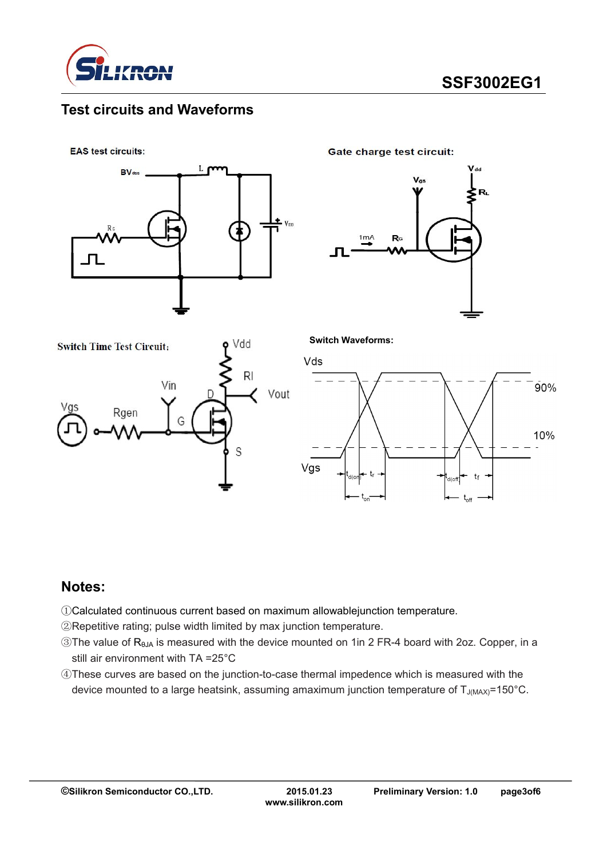

### **Test circuits and Waveforms**

**EAS** test circuits:



Gate charge test circuit:

**Switch Waveforms:**







## **Notes:**

①Calculated continuous current based on maximum allowablejunction temperature.

②Repetitive rating; pulse width limited by max junction temperature.

- $\circledR$ The value of R<sub>θJA</sub> is measured with the device mounted on 1in 2 FR-4 board with 2oz. Copper, in a still air environment with TA =25°C
- ④These curves are based on the junction-to-case thermal impedence which is measured with the device mounted to a large heatsink, assuming amaximum junction temperature of  $T_{J(MAX)}$ =150°C.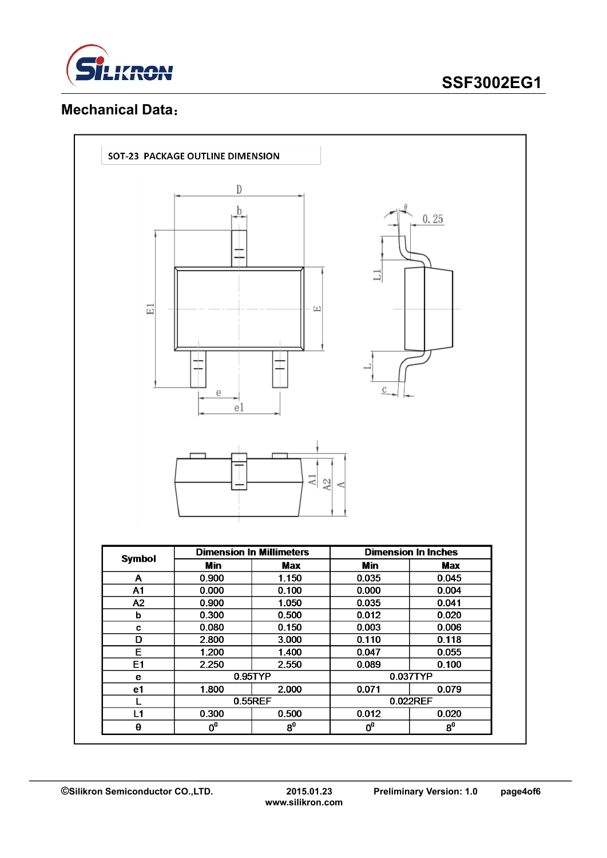

# **SSF3002EG1**

## **Mechanical Data**:

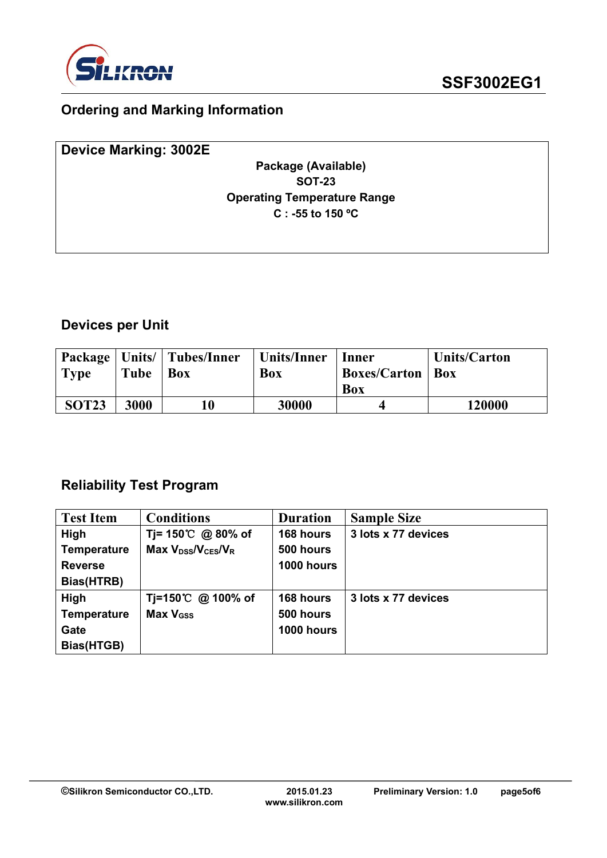

# **Ordering and Marking Information**

| Device Marking: 3002E |                                    |  |
|-----------------------|------------------------------------|--|
|                       | Package (Available)                |  |
|                       | <b>SOT-23</b>                      |  |
|                       | <b>Operating Temperature Range</b> |  |
|                       | $C: -55$ to 150 °C                 |  |
|                       |                                    |  |
|                       |                                    |  |

# **Devices per Unit**

| $\vert$ Type      | Tube | Package   Units/   Tubes/Inner<br>$\vert$ Box | Units/Inner<br>Box | Inner<br><b>Boxes/Carton   Box</b> | <b>Units/Carton</b> |
|-------------------|------|-----------------------------------------------|--------------------|------------------------------------|---------------------|
|                   |      |                                               |                    | Box                                |                     |
| SOT <sub>23</sub> | 3000 | 10                                            | 30000              |                                    | 120000              |

## **Reliability Test Program**

| <b>Test Item</b>   | <b>Conditions</b>                                | <b>Duration</b> | <b>Sample Size</b>  |
|--------------------|--------------------------------------------------|-----------------|---------------------|
| High               | Tj= 150℃ @ 80% of                                | 168 hours       | 3 lots x 77 devices |
| <b>Temperature</b> | Max $V_{\text{DSS}}/V_{\text{CES}}/V_{\text{R}}$ | 500 hours       |                     |
| <b>Reverse</b>     |                                                  | 1000 hours      |                     |
| Bias(HTRB)         |                                                  |                 |                     |
| High               | Tj=150℃ @ 100% of                                | 168 hours       | 3 lots x 77 devices |
| <b>Temperature</b> | Max V <sub>GSS</sub>                             | 500 hours       |                     |
| Gate               |                                                  | 1000 hours      |                     |
| Bias(HTGB)         |                                                  |                 |                     |